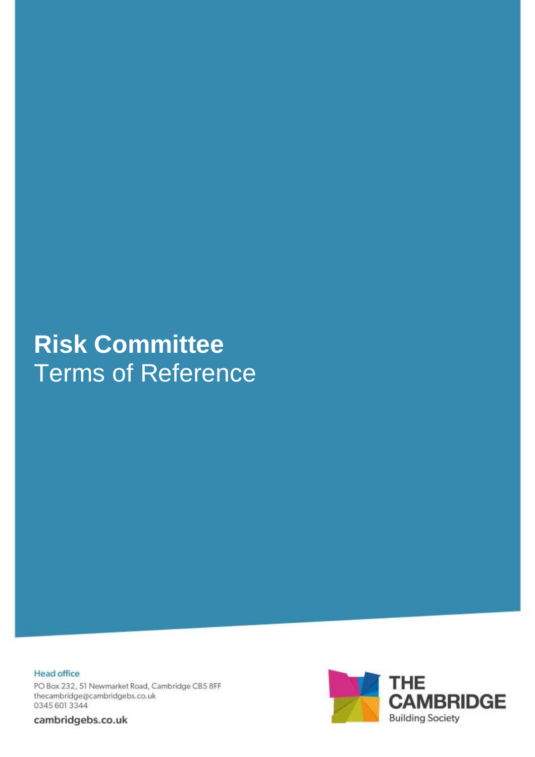# **Risk Committee** Terms of Reference

**Head office** PO Box 232, 51 Newmarket Road, Cambridge CB5 8FF thecambridge@cambridgebs.co.uk 0345 601 3344

cambridgebs.co.uk

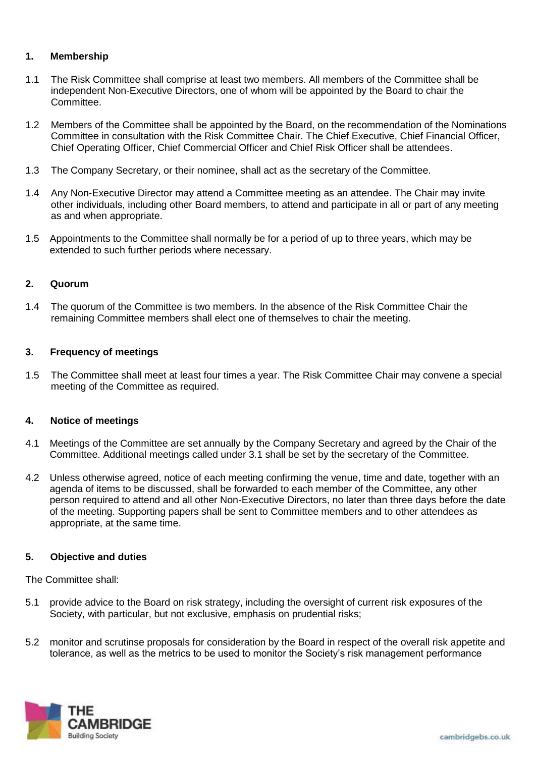# **1. Membership**

- 1.1 The Risk Committee shall comprise at least two members. All members of the Committee shall be independent Non-Executive Directors, one of whom will be appointed by the Board to chair the Committee.
- 1.2 Members of the Committee shall be appointed by the Board, on the recommendation of the Nominations Committee in consultation with the Risk Committee Chair. The Chief Executive, Chief Financial Officer, Chief Operating Officer, Chief Commercial Officer and Chief Risk Officer shall be attendees.
- 1.3 The Company Secretary, or their nominee, shall act as the secretary of the Committee.
- 1.4 Any Non-Executive Director may attend a Committee meeting as an attendee. The Chair may invite other individuals, including other Board members, to attend and participate in all or part of any meeting as and when appropriate.
- 1.5 Appointments to the Committee shall normally be for a period of up to three years, which may be extended to such further periods where necessary.

## **2. Quorum**

1.4 The quorum of the Committee is two members. In the absence of the Risk Committee Chair the remaining Committee members shall elect one of themselves to chair the meeting.

## **3. Frequency of meetings**

1.5 The Committee shall meet at least four times a year. The Risk Committee Chair may convene a special meeting of the Committee as required.

#### **4. Notice of meetings**

- 4.1 Meetings of the Committee are set annually by the Company Secretary and agreed by the Chair of the Committee. Additional meetings called under 3.1 shall be set by the secretary of the Committee.
- 4.2 Unless otherwise agreed, notice of each meeting confirming the venue, time and date, together with an agenda of items to be discussed, shall be forwarded to each member of the Committee, any other person required to attend and all other Non-Executive Directors, no later than three days before the date of the meeting. Supporting papers shall be sent to Committee members and to other attendees as appropriate, at the same time.

## **5. Objective and duties**

The Committee shall:

- 5.1 provide advice to the Board on risk strategy, including the oversight of current risk exposures of the Society, with particular, but not exclusive, emphasis on prudential risks;
- 5.2 monitor and scrutinse proposals for consideration by the Board in respect of the overall risk appetite and tolerance, as well as the metrics to be used to monitor the Society's risk management performance

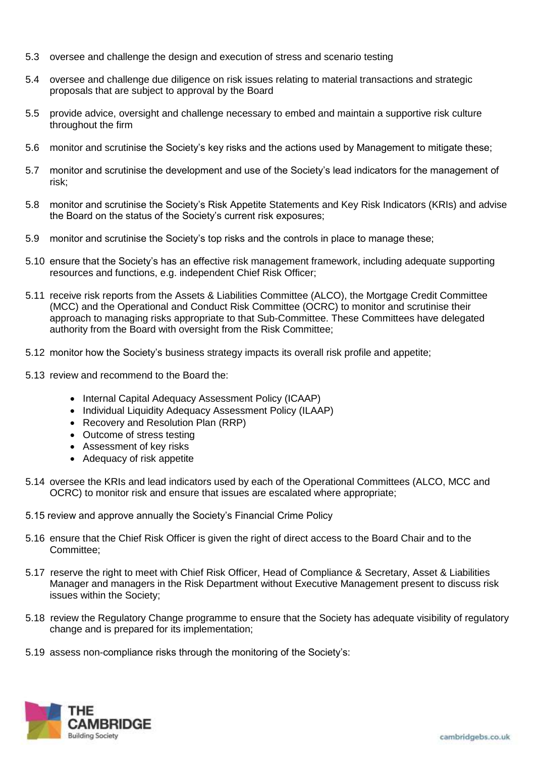- 5.3 oversee and challenge the design and execution of stress and scenario testing
- 5.4 oversee and challenge due diligence on risk issues relating to material transactions and strategic proposals that are subject to approval by the Board
- 5.5 provide advice, oversight and challenge necessary to embed and maintain a supportive risk culture throughout the firm
- 5.6 monitor and scrutinise the Society's key risks and the actions used by Management to mitigate these;
- 5.7 monitor and scrutinise the development and use of the Society's lead indicators for the management of risk;
- 5.8 monitor and scrutinise the Society's Risk Appetite Statements and Key Risk Indicators (KRIs) and advise the Board on the status of the Society's current risk exposures;
- 5.9 monitor and scrutinise the Society's top risks and the controls in place to manage these;
- 5.10 ensure that the Society's has an effective risk management framework, including adequate supporting resources and functions, e.g. independent Chief Risk Officer;
- 5.11 receive risk reports from the Assets & Liabilities Committee (ALCO), the Mortgage Credit Committee (MCC) and the Operational and Conduct Risk Committee (OCRC) to monitor and scrutinise their approach to managing risks appropriate to that Sub-Committee. These Committees have delegated authority from the Board with oversight from the Risk Committee;
- 5.12 monitor how the Society's business strategy impacts its overall risk profile and appetite;
- 5.13 review and recommend to the Board the:
	- Internal Capital Adequacy Assessment Policy (ICAAP)
	- Individual Liquidity Adequacy Assessment Policy (ILAAP)
	- Recovery and Resolution Plan (RRP)
	- Outcome of stress testing
	- Assessment of key risks
	- Adequacy of risk appetite
- 5.14 oversee the KRIs and lead indicators used by each of the Operational Committees (ALCO, MCC and OCRC) to monitor risk and ensure that issues are escalated where appropriate;
- 5.15 review and approve annually the Society's Financial Crime Policy
- 5.16 ensure that the Chief Risk Officer is given the right of direct access to the Board Chair and to the Committee;
- 5.17 reserve the right to meet with Chief Risk Officer, Head of Compliance & Secretary, Asset & Liabilities Manager and managers in the Risk Department without Executive Management present to discuss risk issues within the Society;
- 5.18 review the Regulatory Change programme to ensure that the Society has adequate visibility of regulatory change and is prepared for its implementation;
- 5.19 assess non-compliance risks through the monitoring of the Society's:

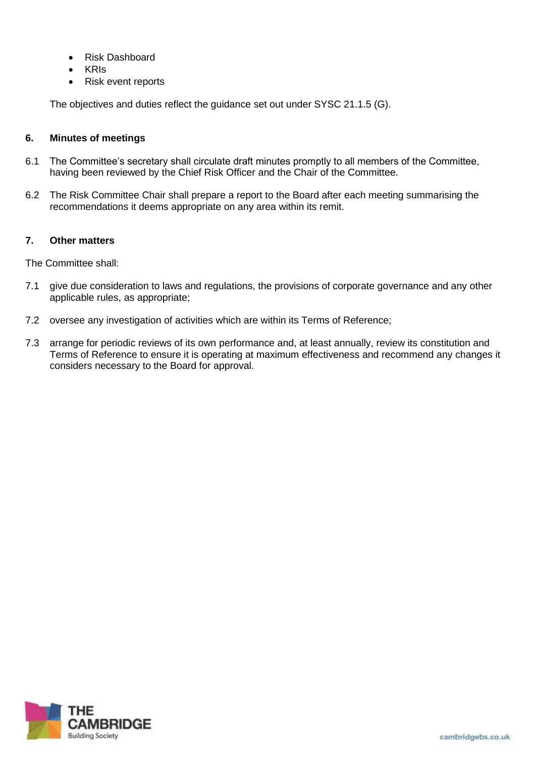- Risk Dashboard
- KRIs
- Risk event reports

The objectives and duties reflect the guidance set out under SYSC 21.1.5 (G).

# **6. Minutes of meetings**

- 6.1 The Committee's secretary shall circulate draft minutes promptly to all members of the Committee, having been reviewed by the Chief Risk Officer and the Chair of the Committee.
- 6.2 The Risk Committee Chair shall prepare a report to the Board after each meeting summarising the recommendations it deems appropriate on any area within its remit.

## **7. Other matters**

The Committee shall:

- 7.1 give due consideration to laws and regulations, the provisions of corporate governance and any other applicable rules, as appropriate;
- 7.2 oversee any investigation of activities which are within its Terms of Reference;
- 7.3 arrange for periodic reviews of its own performance and, at least annually, review its constitution and Terms of Reference to ensure it is operating at maximum effectiveness and recommend any changes it considers necessary to the Board for approval.